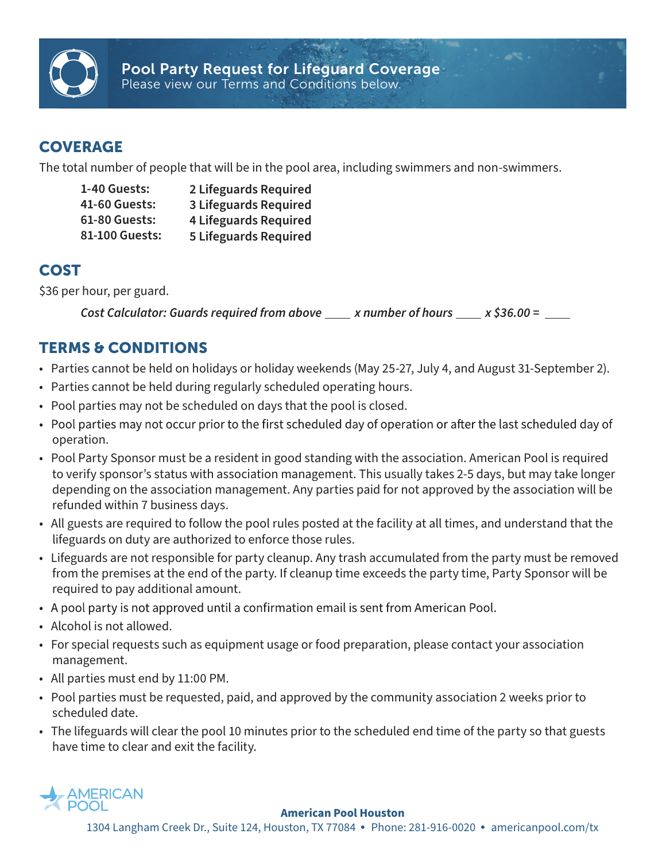

## **COVERAGE**

The total number of people that will be in the pool area, including swimmers and non-swimmers.

| 1-40 Guests:   | 2 Lifeguards Required        |
|----------------|------------------------------|
| 41-60 Guests:  | <b>3 Lifeguards Required</b> |
| 61-80 Guests:  | <b>4 Lifeguards Required</b> |
| 81-100 Guests: | <b>5 Lifeguards Required</b> |

## COST

\$36 per hour, per guard.

*x number of hours x \$36.00 = Cost Calculator: Guards required from above* 

## TERMS & CONDITIONS

- Parties cannot be held on holidays or holiday weekends (May 25-27, July 4, and August 31-September 2).
- Parties cannot be held during regularly scheduled operating hours.
- Pool parties may not be scheduled on days that the pool is closed.
- Pool parties may not occur prior to the first scheduled day of operation or after the last scheduled day of operation.
- Pool Party Sponsor must be a resident in good standing with the association. American Pool is required to verify sponsor's status with association management. This usually takes 2-5 days, but may take longer depending on the association management. Any parties paid for not approved by the association will be refunded within 7 business days.
- All guests are required to follow the pool rules posted at the facility at all times, and understand that the lifeguards on duty are authorized to enforce those rules.
- Lifeguards are not responsible for party cleanup. Any trash accumulated from the party must be removed from the premises at the end of the party. If cleanup time exceeds the party time, Party Sponsor will be required to pay additional amount.
- A pool party is not approved until a confirmation email is sent from American Pool.
- Alcohol is not allowed.
- For special requests such as equipment usage or food preparation, please contact your association management.
- All parties must end by 11:00 PM.
- Pool parties must be requested, paid, and approved by the community association 2 weeks prior to scheduled date.
- The lifeguards will clear the pool 10 minutes prior to the scheduled end time of the party so that guests have time to clear and exit the facility.